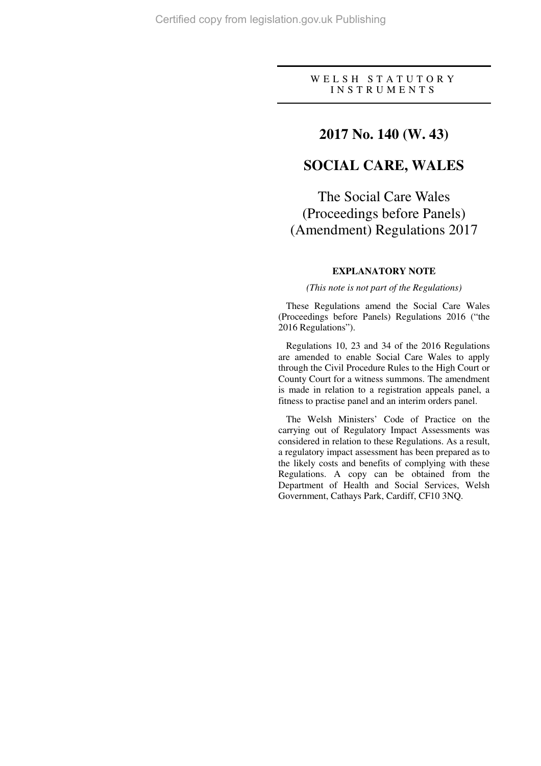### W E L S H S T A T U T O R Y I N S T R U M E N T S

## **2017 No. 140 (W. 43)**

# **SOCIAL CARE, WALES**

The Social Care Wales (Proceedings before Panels) (Amendment) Regulations 2017

### **EXPLANATORY NOTE**

*(This note is not part of the Regulations)* 

These Regulations amend the Social Care Wales (Proceedings before Panels) Regulations 2016 ("the 2016 Regulations").

Regulations 10, 23 and 34 of the 2016 Regulations are amended to enable Social Care Wales to apply through the Civil Procedure Rules to the High Court or County Court for a witness summons. The amendment is made in relation to a registration appeals panel, a fitness to practise panel and an interim orders panel.

The Welsh Ministers' Code of Practice on the carrying out of Regulatory Impact Assessments was considered in relation to these Regulations. As a result, a regulatory impact assessment has been prepared as to the likely costs and benefits of complying with these Regulations. A copy can be obtained from the Department of Health and Social Services, Welsh Government, Cathays Park, Cardiff, CF10 3NQ.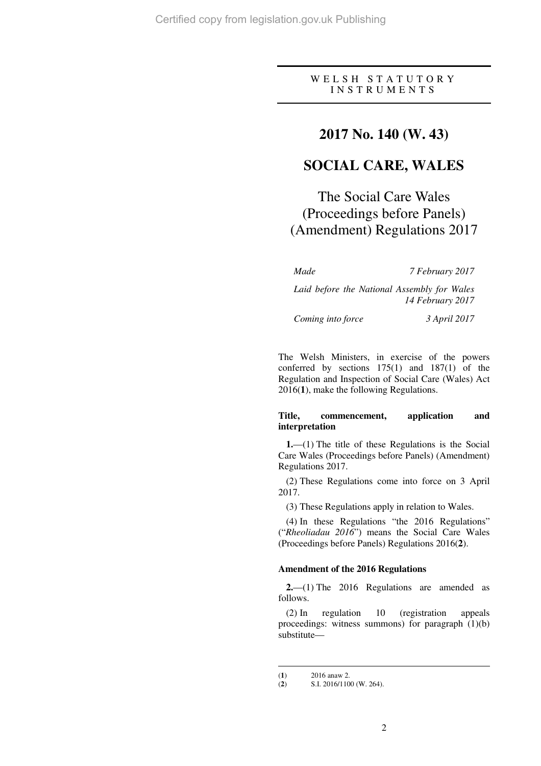### W E L S H S T A T U T O R Y I N S T R U M E N T S

## **2017 No. 140 (W. 43)**

# **SOCIAL CARE, WALES**

The Social Care Wales (Proceedings before Panels) (Amendment) Regulations 2017

*Made 7 February 2017* 

*Laid before the National Assembly for Wales 14 February 2017* 

*Coming into force 3 April 2017* 

The Welsh Ministers, in exercise of the powers conferred by sections 175(1) and 187(1) of the Regulation and Inspection of Social Care (Wales) Act 2016(**1**), make the following Regulations.

### **Title, commencement, application and interpretation**

**1.**—(1) The title of these Regulations is the Social Care Wales (Proceedings before Panels) (Amendment) Regulations 2017.

(2) These Regulations come into force on 3 April 2017.

(3) These Regulations apply in relation to Wales.

(4) In these Regulations "the 2016 Regulations" ("*Rheoliadau 2016*") means the Social Care Wales (Proceedings before Panels) Regulations 2016(**2**).

### **Amendment of the 2016 Regulations**

**2.**—(1) The 2016 Regulations are amended as follows.

(2) In regulation 10 (registration appeals proceedings: witness summons) for paragraph (1)(b) substitute—

 $\overline{a}$ 

<sup>(</sup>**1**)  $2016$  anaw 2.<br>(**2**)  $S.I. 2016/110$ 

<sup>(</sup>**2**) S.I. 2016/1100 (W. 264).